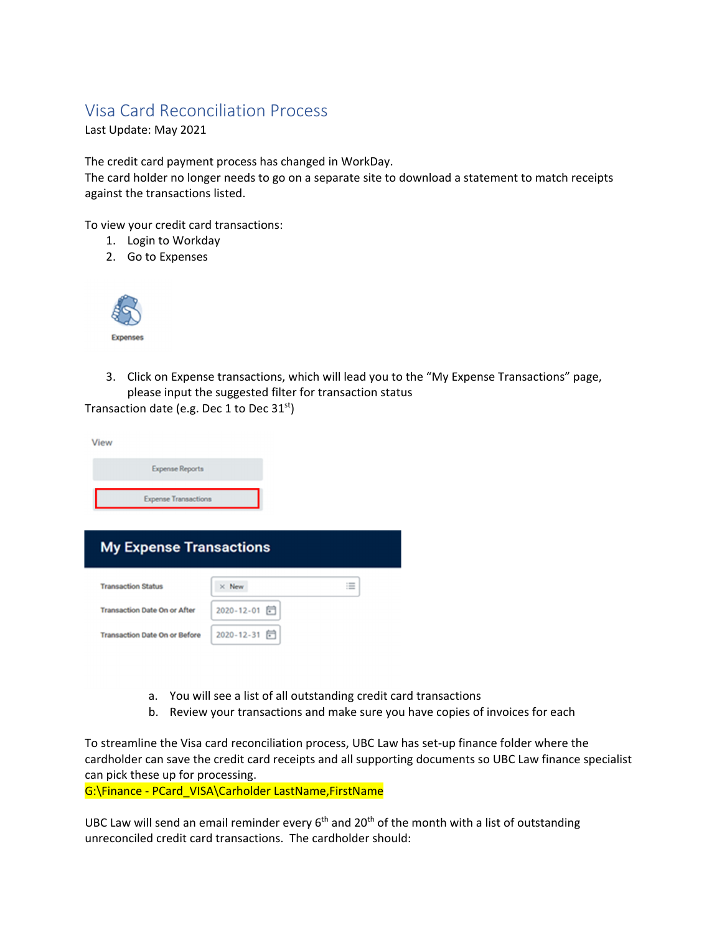## Visa Card Reconciliation Process

Last Update: May 2021

The credit card payment process has changed in WorkDay.

The card holder no longer needs to go on a separate site to download a statement to match receipts against the transactions listed.

To view your credit card transactions:

- 1. Login to Workday
- 2. Go to Expenses



3. Click on Expense transactions, which will lead you to the "My Expense Transactions" page, please input the suggested filter for transaction status

Transaction date (e.g. Dec 1 to Dec  $31<sup>st</sup>$ )

| View                                 |                       |   |
|--------------------------------------|-----------------------|---|
| <b>Expense Reports</b>               |                       |   |
| <b>Expense Transactions</b>          |                       |   |
| <b>My Expense Transactions</b>       |                       |   |
| <b>Transaction Status</b>            | $\times$ New          | 三 |
| <b>Transaction Date On or After</b>  | 2020-12-01 同          |   |
| <b>Transaction Date On or Before</b> | $2020 - 12 - 31$<br>同 |   |

- a. You will see a list of all outstanding credit card transactions
- b. Review your transactions and make sure you have copies of invoices for each

To streamline the Visa card reconciliation process, UBC Law has set‐up finance folder where the cardholder can save the credit card receipts and all supporting documents so UBC Law finance specialist can pick these up for processing.

G:\Finance ‐ PCard\_VISA\Carholder LastName,FirstName

UBC Law will send an email reminder every  $6<sup>th</sup>$  and 20<sup>th</sup> of the month with a list of outstanding unreconciled credit card transactions. The cardholder should: